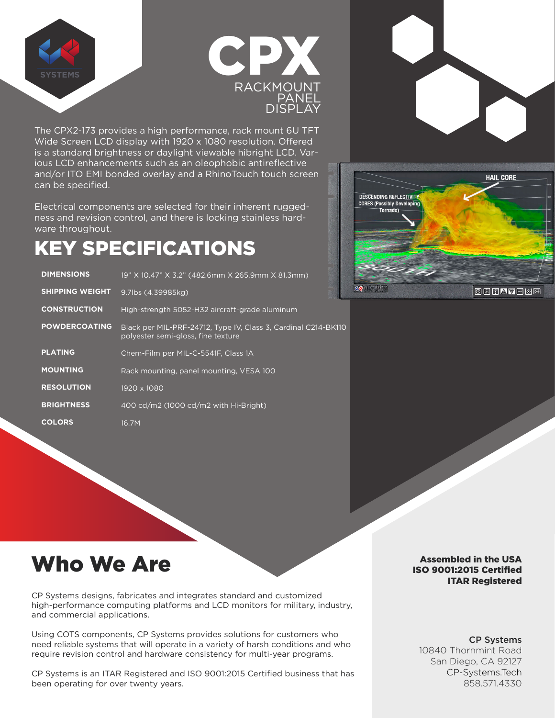



The CPX2-173 provides a high performance, rack mount 6U TFT Wide Screen LCD display with 1920 x 1080 resolution. Offered is a standard brightness or daylight viewable hibright LCD. Various LCD enhancements such as an oleophobic antireflective and/or ITO EMI bonded overlay and a RhinoTouch touch screen can be specified.

Electrical components are selected for their inherent ruggedness and revision control, and there is locking stainless hardware throughout.

# KEY SPECIFICATIONS

| <b>DIMENSIONS</b>      | 19" X 10.47" X 3.2" (482.6mm X 265.9mm X 81.3mm)                                                     |
|------------------------|------------------------------------------------------------------------------------------------------|
| <b>SHIPPING WEIGHT</b> | 9.7lbs (4.39985kg)                                                                                   |
| <b>CONSTRUCTION</b>    | High-strength 5052-H32 aircraft-grade aluminum                                                       |
| <b>POWDERCOATING</b>   | Black per MIL-PRF-24712, Type IV, Class 3, Cardinal C214-BK110<br>polyester semi-gloss, fine texture |
| <b>PLATING</b>         | Chem-Film per MIL-C-5541F, Class 1A                                                                  |
| <b>MOUNTING</b>        | Rack mounting, panel mounting, VESA 100                                                              |
| <b>RESOLUTION</b>      | 1920 x 1080                                                                                          |
| <b>BRIGHTNESS</b>      | 400 cd/m2 (1000 cd/m2 with Hi-Bright)                                                                |
| <b>COLORS</b>          | 16.7M                                                                                                |



RA

**OHTAV**EMA

## Who We Are

CP Systems designs, fabricates and integrates standard and customized high-performance computing platforms and LCD monitors for military, industry, and commercial applications.

Using COTS components, CP Systems provides solutions for customers who need reliable systems that will operate in a variety of harsh conditions and who require revision control and hardware consistency for multi-year programs.

CP Systems is an ITAR Registered and ISO 9001:2015 Certified business that has been operating for over twenty years.

#### Assembled in the USA ISO 9001:2015 Certified ITAR Registered

#### CP Systems 10840 Thornmint Road

San Diego, CA 92127 CP-Systems.Tech 858.571.4330